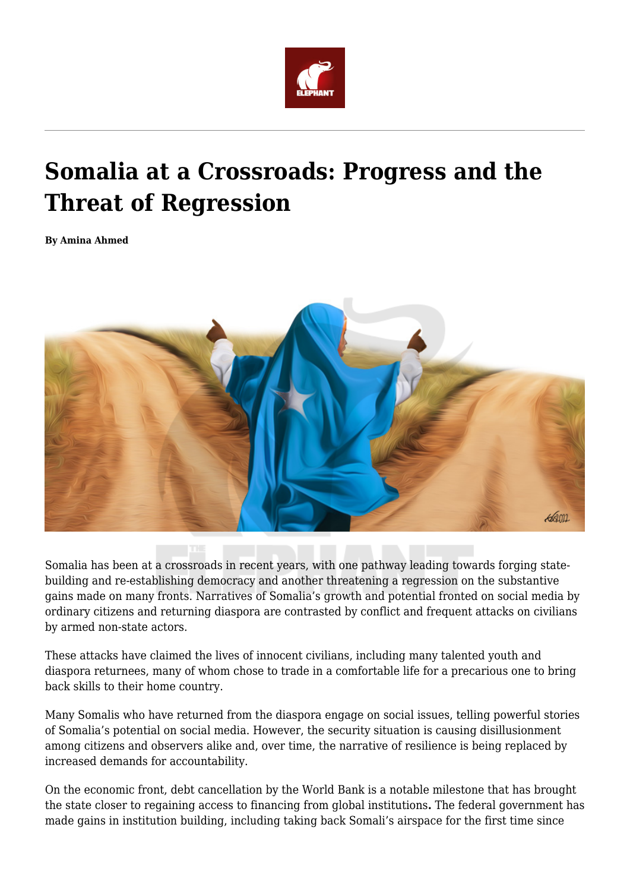

## **Somalia at a Crossroads: Progress and the Threat of Regression**

**By Amina Ahmed**



Somalia has been at a crossroads in recent years, with one pathway leading towards forging statebuilding and re-establishing democracy and another threatening a regression on the substantive gains made on many fronts. Narratives of Somalia's growth and potential fronted on social media by ordinary citizens and returning diaspora are contrasted by conflict and frequent attacks on civilians by armed non-state actors.

These attacks have claimed the lives of innocent civilians, including many talented youth and diaspora returnees, many of whom chose to trade in a comfortable life for a precarious one to bring back skills to their home country.

Many Somalis who have returned from the diaspora engage on social issues, telling powerful stories of Somalia's potential on social media. However, the security situation is causing disillusionment among citizens and observers alike and, over time, the narrative of resilience is being replaced by increased demands for accountability.

On the economic front, debt cancellation by the World Bank is a notable milestone that has brought the state closer to regaining access to financing from global institutions**.** The federal government has made gains in institution building, including taking back Somali's airspace for the first time since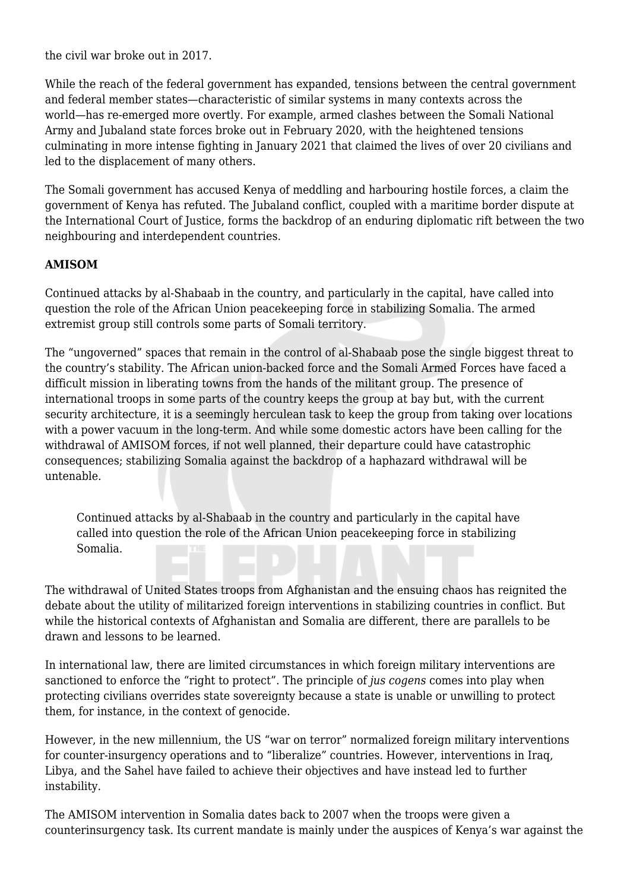the civil war broke out in 2017.

While the reach of the federal government has expanded, tensions between the central government and federal member states—characteristic of similar systems in many contexts across the world—has re-emerged more overtly. For example, armed clashes between the Somali National Army and Jubaland state forces broke out in February 2020, with the heightened tensions culminating in more intense fighting in January 2021 that claimed the lives of over 20 civilians and led to the displacement of many others.

The Somali government has accused Kenya of meddling and harbouring hostile forces, a claim the government of Kenya has refuted. The Jubaland conflict, coupled with a maritime border dispute at the International Court of Justice, forms the backdrop of an enduring diplomatic rift between the two neighbouring and interdependent countries.

## **AMISOM**

Continued attacks by al-Shabaab in the country, and particularly in the capital, have called into question the role of the African Union peacekeeping force in stabilizing Somalia. The armed extremist group still controls some parts of Somali territory.

The "ungoverned" spaces that remain in the control of al-Shabaab pose the single biggest threat to the country's stability. The African union-backed force and the Somali Armed Forces have faced a difficult mission in liberating towns from the hands of the militant group. The presence of international troops in some parts of the country keeps the group at bay but, with the current security architecture, it is a seemingly herculean task to keep the group from taking over locations with a power vacuum in the long-term. And while some domestic actors have been calling for the withdrawal of AMISOM forces, if not well planned, their departure could have catastrophic consequences; stabilizing Somalia against the backdrop of a haphazard withdrawal will be untenable.

Continued attacks by al-Shabaab in the country and particularly in the capital have called into question the role of the African Union peacekeeping force in stabilizing Somalia.

The withdrawal of United States troops from Afghanistan and the ensuing chaos has reignited the debate about the utility of militarized foreign interventions in stabilizing countries in conflict. But while the historical contexts of Afghanistan and Somalia are different, there are parallels to be drawn and lessons to be learned.

In international law, there are limited circumstances in which foreign military interventions are sanctioned to enforce the "right to protect". The principle of *jus cogens* comes into play when protecting civilians overrides state sovereignty because a state is unable or unwilling to protect them, for instance, in the context of genocide.

However, in the new millennium, the US "war on terror" normalized foreign military interventions for counter-insurgency operations and to "liberalize" countries. However, interventions in Iraq, Libya, and the Sahel have failed to achieve their objectives and have instead led to further instability.

The AMISOM intervention in Somalia dates back to 2007 when the troops were given a counterinsurgency task. Its current mandate is mainly under the auspices of Kenya's war against the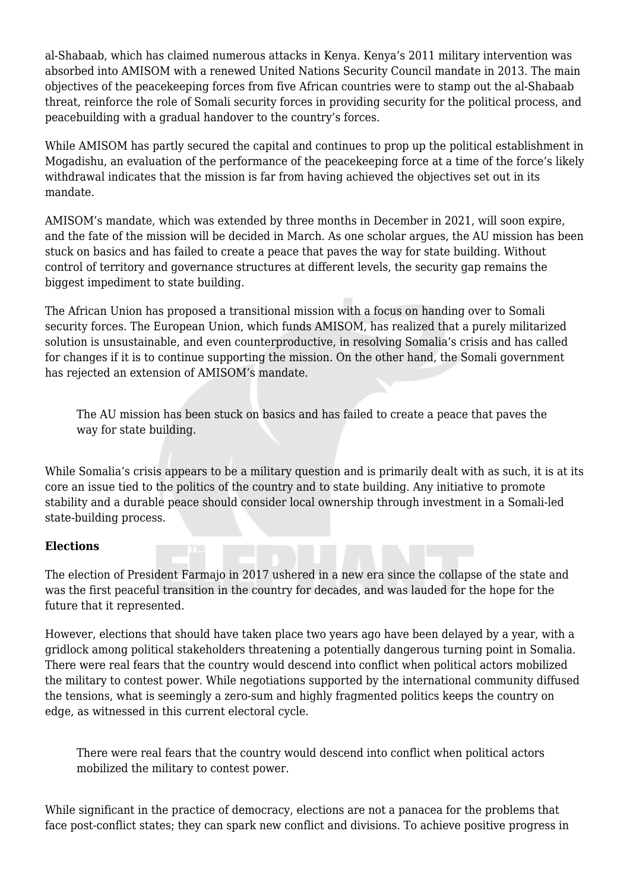al-Shabaab, which has claimed numerous attacks in Kenya. Kenya's 2011 military intervention was absorbed into AMISOM with a renewed United Nations Security Council mandate in 2013. The main objectives of the peacekeeping forces from five African countries were to stamp out the al-Shabaab threat, reinforce the role of Somali security forces in providing security for the political process, and peacebuilding with a gradual handover to the country's forces.

While AMISOM has partly secured the capital and continues to prop up the political establishment in Mogadishu, an evaluation of the performance of the peacekeeping force at a time of the force's likely withdrawal indicates that the mission is far from having achieved the objectives set out in its mandate.

AMISOM's mandate, which was extended by three months in December in 2021, will soon expire, and the fate of the mission will be decided in March. As one scholar argues, the AU mission has been stuck on basics and has failed to create a peace that paves the way for state building. Without control of territory and governance structures at different levels, the security gap remains the biggest impediment to state building.

The African Union has proposed a transitional mission with a focus on handing over to Somali security forces. The European Union, which funds AMISOM, has realized that a purely militarized solution is unsustainable, and even counterproductive, in resolving Somalia's crisis and has called for changes if it is to continue supporting the mission. On the other hand, the Somali government has rejected an extension of AMISOM's mandate.

The AU mission has been stuck on basics and has failed to create a peace that paves the way for state building.

While Somalia's crisis appears to be a military question and is primarily dealt with as such, it is at its core an issue tied to the politics of the country and to state building. Any initiative to promote stability and a durable peace should consider local ownership through investment in a Somali-led state-building process.

## **Elections**

The election of President Farmajo in 2017 ushered in a new era since the collapse of the state and was the first peaceful transition in the country for decades, and was lauded for the hope for the future that it represented.

However, elections that should have taken place two years ago have been delayed by a year, with a gridlock among political stakeholders threatening a potentially dangerous turning point in Somalia. There were real fears that the country would descend into conflict when political actors mobilized the military to contest power. While negotiations supported by the international community diffused the tensions, what is seemingly a zero-sum and highly fragmented politics keeps the country on edge, as witnessed in this current electoral cycle.

There were real fears that the country would descend into conflict when political actors mobilized the military to contest power.

While significant in the practice of democracy, elections are not a panacea for the problems that face post-conflict states; they can spark new conflict and divisions. To achieve positive progress in